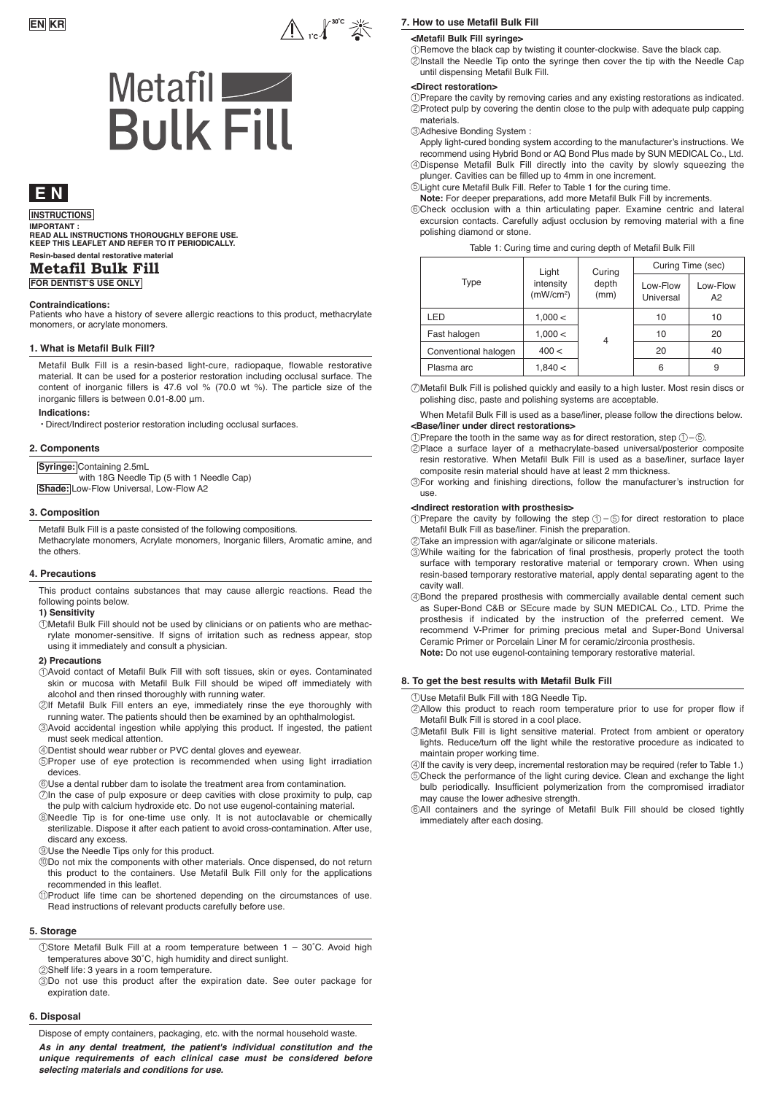

# Metafil<br>Bulk Fill

# **E N**

### **INSTRUCTIONS**

**Resin-based dental restorative material IMPORTANT : READ ALL INSTRUCTIONS THOROUGHLY BEFORE USE. KEEP THIS LEAFLET AND REFER TO IT PERIODICALLY.** 

## **Metafil Bulk Fill**

**FOR DENTIST'S USE ONLY**

### **Contraindications:**

Patients who have a history of severe allergic reactions to this product, methacrylate monomers, or acrylate monomers.

### **1. What is Metafil Bulk Fill?**

Metafil Bulk Fill is a resin-based light-cure, radiopaque, flowable restorative material. It can be used for a posterior restoration including occlusal surface. The content of inorganic fillers is 47.6 vol % (70.0 wt %). The particle size of the inorganic fillers is between 0.01-8.00 μm.

### **Indications:** ・Direct/Indirect posterior restoration including occlusal surfaces.

### **2. Components**

**Syringe:** Containing 2.5mL

with 18G Needle Tip (5 with 1 Needle Cap) **Shade:** Low-Flow Universal, Low-Flow A2

### **3. Composition**

Metafil Bulk Fill is a paste consisted of the following compositions. Methacrylate monomers, Acrylate monomers, Inorganic fillers, Aromatic amine, and the others.

### **4. Precautions**

This product contains substances that may cause allergic reactions. Read the following points below.

### **1) Sensitivity**

Metafil Bulk Fill should not be used by clinicians or on patients who are methac-1 rylate monomer-sensitive. If signs of irritation such as redness appear, stop using it immediately and consult a physician.

### **2) Precautions**

- Avoid contact of Metafil Bulk Fill with soft tissues, skin or eyes. Contaminated 1 skin or mucosa with Metafil Bulk Fill should be wiped off immediately with alcohol and then rinsed thoroughly with running water.
- 2)If Metafil Bulk Fill enters an eye, immediately rinse the eye thoroughly with running water. The patients should then be examined by an ophthalmologist.
- Avoid accidental ingestion while applying this product. If ingested, the patient 3 must seek medical attention.

Dentist should wear rubber or PVC dental gloves and eyewear. 4

- 5)Proper use of eye protection is recommended when using light irradiation devices.
- $\circledS$ Use a dental rubber dam to isolate the treatment area from contamination.
- $\mathcal D$ In the case of pulp exposure or deep cavities with close proximity to pulp, cap the pulp with calcium hydroxide etc. Do not use eugenol-containing material.
- Needle Tip is for one-time use only. It is not autoclavable or chemically 8 sterilizable. Dispose it after each patient to avoid cross-contamination. After use, discard any excess.
- Use the Needle Tips only for this product. 9
- Do not mix the components with other materials. Once dispensed, do not return 10 this product to the containers. Use Metafil Bulk Fill only for the applications recommended in this leaflet.
- Product life time can be shortened depending on the circumstances of use. 11 Read instructions of relevant products carefully before use.

### **5. Storage**

Store Metafil Bulk Fill at a room temperature between 1 – 30˚C. Avoid high 1 temperatures above 30˚C, high humidity and direct sunlight.

- Shelf life: 3 years in a room temperature. 2
- Do not use this product after the expiration date. See outer package for 3 expiration date.

### **6. Disposal**

Dispose of empty containers, packaging, etc. with the normal household waste.

*As in any dental treatment, the patient's individual constitution and the unique requirements of each clinical case must be considered before selecting materials and conditions for use.*

### **7. How to use Metafil Bulk Fill**

### **<Metafil Bulk Fill syringe>**

 $\mathbb U$ Remove the black cap by twisting it counter-clockwise. Save the black cap. 2)Install the Needle Tip onto the syringe then cover the tip with the Needle Cap until dispensing Metafil Bulk Fill.

### **<Direct restoration>**

 $\mathbb D$ Prepare the cavity by removing caries and any existing restorations as indicated. 2)Protect pulp by covering the dentin close to the pulp with adequate pulp capping materials.

Adhesive Bonding System : 3

Apply light-cured bonding system according to the manufacturer's instructions. We recommend using Hybrid Bond or AQ Bond Plus made by SUN MEDICAL Co., Ltd. Dispense Metafil Bulk Fill directly into the cavity by slowly squeezing the 4 plunger. Cavities can be filled up to 4mm in one increment.

Light cure Metafil Bulk Fill. Refer to Table 1 for the curing time. 5

**Note:** For deeper preparations, add more Metafil Bulk Fill by increments.

Check occlusion with a thin articulating paper. Examine centric and lateral 6 excursion contacts. Carefully adjust occlusion by removing material with a fine polishing diamond or stone.

|  |  |  | Table 1: Curing time and curing depth of Metafil Bulk Fill |
|--|--|--|------------------------------------------------------------|
|--|--|--|------------------------------------------------------------|

|                      | Light<br>intensity<br>(mW/cm <sup>2</sup> ) | Curing<br>depth<br>(mm) | Curing Time (sec)     |                |
|----------------------|---------------------------------------------|-------------------------|-----------------------|----------------|
| Type                 |                                             |                         | Low-Flow<br>Universal | Low-Flow<br>A2 |
| LED                  | 1,000 <                                     |                         | 10                    | 10             |
| Fast halogen         | 1,000 <                                     | 4                       | 10                    | 20             |
| Conventional halogen | 400 <                                       |                         | 20                    | 40             |
| Plasma arc           | 1,840 <                                     |                         | 6                     | 9              |

Metafil Bulk Fill is polished quickly and easily to a high luster. Most resin discs or 7polishing disc, paste and polishing systems are acceptable.

When Metafil Bulk Fill is used as a base/liner, please follow the directions below. **<Base/liner under direct restorations>**

- $\mathcal D$ Prepare the tooth in the same way as for direct restoration, step  $\mathcal D$ – $\mathcal D$ .
- Place a surface layer of a methacrylate-based universal/posterior composite 2 resin restorative. When Metafil Bulk Fill is used as a base/liner, surface layer composite resin material should have at least 2 mm thickness.

For working and finishing directions, follow the manufacturer's instruction for 3 use.

### **<Indirect restoration with prosthesis>**

 $\mathcal D$ Prepare the cavity by following the step  $\mathcal D$  –  $\mathfrak D$  for direct restoration to place Metafil Bulk Fill as base/liner. Finish the preparation.

Take an impression with agar/alginate or silicone materials. 2

- While waiting for the fabrication of final prosthesis, properly protect the tooth 3 surface with temporary restorative material or temporary crown. When using resin-based temporary restorative material, apply dental separating agent to the cavity wall.
- Bond the prepared prosthesis with commercially available dental cement such 4 as Super-Bond C&B or SEcure made by SUN MEDICAL Co., LTD. Prime the prosthesis if indicated by the instruction of the preferred cement. We recommend V-Primer for priming precious metal and Super-Bond Universal Ceramic Primer or Porcelain Liner M for ceramic/zirconia prosthesis. **Note:** Do not use eugenol-containing temporary restorative material.

### **8. To get the best results with Metafil Bulk Fill**

Use Metafil Bulk Fill with 18G Needle Tip. 1

- Allow this product to reach room temperature prior to use for proper flow if 2 Metafil Bulk Fill is stored in a cool place.
- Metafil Bulk Fill is light sensitive material. Protect from ambient or operatory 3 lights. Reduce/turn off the light while the restorative procedure as indicated to maintain proper working time.
- $4$ )If the cavity is very deep, incremental restoration may be required (refer to Table 1.) 5)Check the performance of the light curing device. Clean and exchange the light bulb periodically. Insufficient polymerization from the compromised irradiator may cause the lower adhesive strength.
- All containers and the syringe of Metafil Bulk Fill should be closed tightly 6 immediately after each dosing.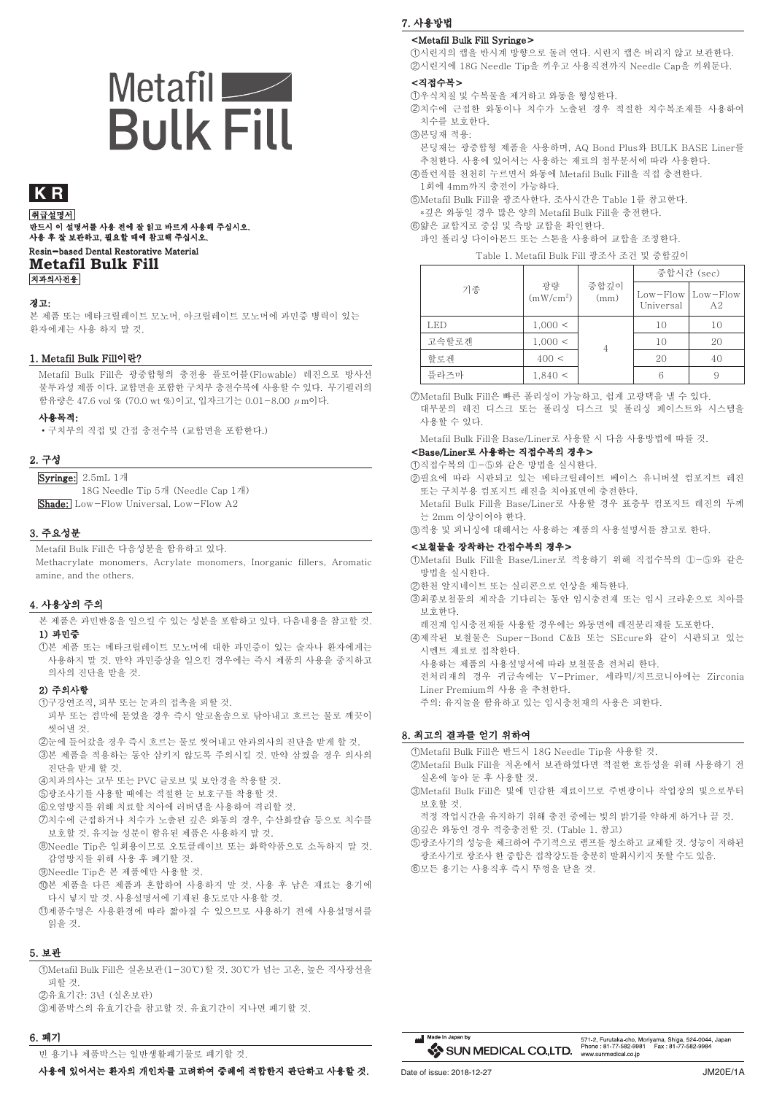# Metafil  $-$ **Bulk Fill**

# **K R**

Resin-based Dental Restorative Material **Metafil Bulk Fill** 치과의사전용 취급설명서 \_\_\_\_\_\_\_\_\_\_\_<br>반드시 이 설명서를 사용 전에 잘 읽고 바르게 사용해 주십시오. 사용 후 잘 보관하고, 필요할 때에 참고해 주십시오.

### 경고:

본 제품 또는 메타크릴레이트 모노머, 아크릴레이트 모노머에 과민증 병력이 있는 환자에게는 사용 하지 말 것.

### 1. Metafil Bulk Fill이란?

Metafil Bulk Fill은 광중합형의 충전용 플로어블(Flowable) 레진으로 방사선 불투과성 제품 이다. 교합면을 포함한 구치부 충전수복에 사용할 수 있다. 무기필러의 함유량은 47.6 vol % (70.0 wt %)이고, 입자크기는 0.01-8.00 μm이다.

사용목적:

•구치부의 직접 및 간접 충전수복 (교합면을 포함한다.)

### 2. 구성

Syringe: 2.5mL 1개 18G Needle Tip 5개 (Needle Cap 1개)

Shade: Low-Flow Universal, Low-Flow A2

### 3. 주요성분

Metafil Bulk Fill은 다음성분을 함유하고 있다.

Methacrylate monomers, Acrylate monomers, Inorganic fillers, Aromatic amine, and the others.

### 4. 사용상의 주의

본 제품은 과민반응을 일으킬 수 있는 성분을 포함하고 있다. 다음내용을 참고할 것. 1) 과민증

본 제품 또는 메타크릴레이트 모노머에 대한 과민증이 있는 술자나 환자에게는 1 사용하지 말 것. 만약 과민증상을 일으킨 경우에는 즉시 제품의 사용을 중지하고 의사의 진단을 받을 것.

### 2) 주의사항

- 구강연조직, 피부 또는 눈과의 접촉을 피할 것. 1
- 피부 또는 점막에 묻었을 경우 즉시 알코올솜으로 닦아내고 흐르는 물로 깨끗이 씻어낼 것.
- 눈에 들어갔을 경우 즉시 흐르는 물로 씻어내고 안과의사의 진단을 받게 할 것. 2
- 본 제품을 적용하는 동안 삼키지 않도록 주의시킬 것. 만약 삼켰을 경우 의사의 3 진단을 받게 할 것.
- 치과의사는 고무 또는 PVC 글로브 및 보안경을 착용할 것. 4
- 5)광조사기를 사용할 때에는 적절한 눈 보호구를 착용할 것.
- $6$ 오염방지를 위해 치료할 치아에 러버댐을 사용하여 격리할 것.
- 치수에 근접하거나 치수가 노출된 깊은 와동의 경우, 수산화칼슘 등으로 치수를 7 보호할 것. 유지놀 성분이 함유된 제품은 사용하지 말 것.
- Needle Tip은 일회용이므로 오토클레이브 또는 화학약품으로 소독하지 말 것. 8 감염방지를 위해 사용 후 폐기할 것.
- ${\mathfrak{D}}$ Needle Tip은 본 제품에만 사용할 것.
- 본 제품을 다른 제품과 혼합하여 사용하지 말 것. 사용 후 남은 재료는 용기에 10 다시 넣지 말 것. 사용설명서에 기재된 용도로만 사용할 것.
- 제품수명은 사용환경에 따라 짧아질 수 있으므로 사용하기 전에 사용설명서를 11 읽을 것.

### 5. 보관

- Metafil Bulk Fill은 실온보관(1-30℃)할 것. 30℃가 넘는 고온, 높은 직사광선을 1 피할 것.
- 유효기간: 3년 (실온보관) 2
- 제품박스의 유효기간을 참고할 것. 유효기간이 지나면 폐기할 것. 3

### 6. 폐기

빈 용기나 제품박스는 일반생활폐기물로 폐기할 것.

사용에 있어서는 환자의 개인차를 고려하여 증례에 적합한지 판단하고 사용할 것.

# 7. 사용방법

### <Metafil Bulk Fill Syringe>

①시린지의 캡을 반시계 방향으로 돌려 연다. 시린지 캡은 버리지 않고 보관한다. 시린지에 18G Needle Tip을 끼우고 사용직전까지 Needle Cap을 끼워둔다. 2

### <직접수복>

우식치질 및 수복물을 제거하고 와동을 형성한다. 1

2 치수에 근접한 와동이나 치수가 노출된 경우 적절한 치수복조재를 사용하여 치수를 보호한다.

3 본딩재 적용:

본딩재는 광중합형 제품을 사용하며, AQ Bond Plus와 BULK BASE Liner를 추천한다. 사용에 있어서는 사용하는 재료의 첨부문서에 따라 사용한다.

4 플런저를 천천히 누르면서 와동에 Metafil Bulk Fill을 직접 충전한다.

1회에 4mm까지 충전이 가능하다.

5 Metafil Bulk Fill을 광조사한다. 조사시간은 Table 1를 참고한다. \*깊은 와동일 경우 많은 양의 Metafil Bulk Fill을 충전한다.

6 얇은 교합지로 중심 및 측방 교합을 확인한다.

파인 폴리싱 다이아몬드 또는 스톤을 사용하여 교합을 조정한다. Table 1. Metafil Bulk Fill 광조사 조건 및 중합깊이

| Table T. Metalli Duik Fill 창조약 조선 및 통합요약 |                             |              |                                        |    |  |
|------------------------------------------|-----------------------------|--------------|----------------------------------------|----|--|
|                                          |                             |              | 중합시간 (sec)                             |    |  |
| 기종                                       | 광량<br>(mW/cm <sup>2</sup> ) | 중합깊이<br>(mm) | $Low - Flow$ $Low - Flow$<br>Universal | A2 |  |
| LED                                      | 1,000 <                     |              | 10                                     | 10 |  |
| 고속할로겐                                    | 1,000 <                     | 4            | 10                                     | 20 |  |
| 할로게                                      | 400 <                       |              | 20                                     | 40 |  |
| 플라즈마                                     | 1,840 <                     |              |                                        |    |  |

⑦Metafil Bulk Fill은 빠른 폴리싱이 가능하고, 쉽게 고광택을 낼 수 있다. 대부분의 레진 디스크 또는 폴리싱 디스크 및 폴리싱 페이스트와 시스템을 사용할 수 있다.

Metafil Bulk Fill을 Base/Liner로 사용할 시 다음 사용방법에 따를 것.

# <Base/Liner로 사용하는 직접수복의 경우>

①직접수복의 ①−⑤와 같은 방법을 실시한다.

②필요에 따라 시판되고 있는 메타크릴레이트 베이스 유니버셜 컴포지트 레진 또는 구치부용 컴포지트 레진을 치아표면에 충전한다.

Metafil Bulk Fill을 Base/Liner로 사용할 경우 표층부 컴포지트 레진의 두께 는 2mm 이상이어야 한다.

적용 및 피니싱에 대해서는 사용하는 제품의 사용설명서를 참고로 한다. 3

### <보철물을 장착하는 간접수복의 경우>

Metafil Bulk Fill을 Base/Liner로 적용하기 위해 직접수복의 ①-⑤와 같은 1 방법을 실시한다.

- ②한천 알지네이트 또는 실리콘으로 인상을 채득한다.
- 최종보철물의 제작을 기다리는 동안 임시충전재 또는 임시 크라운으로 치아를 3 보호한다.
	- 레진계 임시충전재를 사용할 경우에는 와동면에 레진분리재를 도포한다.
- 제작된 보철물은 Super-Bond C&B 또는 SEcure와 같이 시판되고 있는 4
- 시멘트 재료로 접착한다.
- 사용하는 제품의 사용설명서에 따라 보철물을 전처리 한다. 전처리재의 경우 귀금속에는 V-Primer, 세라믹/지르코니아에는 Zirconia
- Liner Premium의 사용 을 추천한다.
- 주의: 유지놀을 함유하고 있는 임시충천재의 사용은 피한다.

### 8. 최고의 결과를 얻기 위하여

Metafil Bulk Fill은 반드시 18G Needle Tip을 사용할 것. 1

- Metafil Bulk Fill을 저온에서 보관하였다면 적절한 흐름성을 위해 사용하기 전 2 실온에 놓아 둔 후 사용할 것.
- Metafil Bulk Fill은 빛에 민감한 재료이므로 주변광이나 작업장의 빛으로부터 3 보호할 것.
	- 적정 작업시간을 유지하기 위해 충전 중에는 빛의 밝기를 약하게 하거나 끌 것.
- 깊은 와동인 경우 적층충전할 것. (Table 1. 참고) 4
- 광조사기의 성능을 체크하여 주기적으로 램프를 청소하고 교체할 것. 성능이 저하된 5 광조사기로 광조사 한 중합은 접착강도를 충분히 발휘시키지 못할 수도 있음.
- ⑥모든 용기는 사용직후 즉시 뚜껑을 닫을 것.



www.sunmedical.co.jp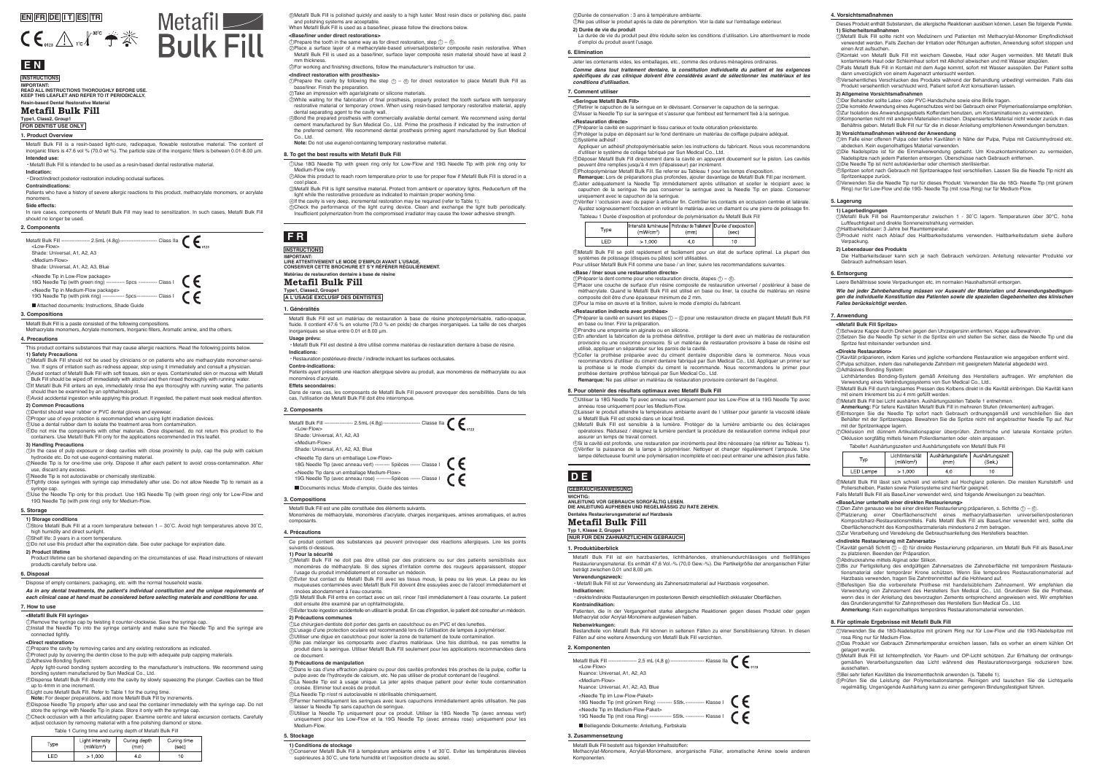### **3. Compositions**

Metafil Bulk Fill is a paste consisted of the following compositions. Methacrylate monomers, Inorganic fillers, Aromatic amine, and the others.

Metafil Bulk Fill est une pâte constituée des éléments suivants.

Monomères de méthacrylate, monomères d'acrylate, charges inorganiques, amines aromatiques, et autres

composants.

**3. Compositions**

Metafil Bulk Fill besteht aus folgenden Inhaltsstoffen:

Methacrylat-Monomere, Acrylat-Monomere, anorganische Füller, aromatische Amine sowie anderen

Komponenten.

**3. Zusammensetzung**

### **Resin-based Dental Restorative Material Metafil Bulk Fill**

### **E N INSTRUCTIONS**

**Type1, Class2, Group1 FOR DENTIST USE ONLY**

**IMPORTANT: READ ALL INSTRUCTIONS THOROUGHLY BEFORE USE. KEEP THIS LEAFLET AND REFER TO IT PERIODICALLY.** 

# **F R**

### **Matériau de restauration dentaire à base de résine Metafil Bulk Fill**

# **Type1, Classe2, Groupe1 A L'USAGE EXCLUSIF DES DENTISTES**

### **INSTRUCTIONS**

**IMPORTANT: LIRE ATTENTIVEMENT LE MODE D'EMPLOI AVANT L'USAGE. CONSERVER CETTE BROCHURE ET S'Y RÉFÉRER RÉGULIÈREMENT.**

**D E**

**Dentales Restaurierungsmaterial auf Harzbasis Metafil Bulk Fill Typ 1, Klasse 2, Gruppe 1**

**NUR FÜR DEN ZAHNÄRZTLICHEN GEBRAUCH**

**GEBRAUCHSANWEISUNG**

**WICHTIG:**

**ANLEITUNG VOR GEBRAUCH SORGFÄLTIG LESEN. DIE ANLEITUNG AUFHEBEN UND REGELMÄSSIG ZU RATE ZIEHEN.**

This product contains substances that may cause allergic reactions. Read the following points below.

**1) Safety Precautions**

syringe cap.  $\mathbb S$ Use the Needle Tip only for this product. Use 18G Needle Tip (with green ring) only for Low-Flow and

### Metafil Bulk Fill should not be used by clinicians or on patients who are methacrylate monomer-sensi-1 tive. If signs of irritation such as redness appear, stop using it immediately and consult a physician.

Eviter tout contact du Metafil Bulk Fill avec les tissus mous, la peau ou les yeux. La peau ou les 2 musicales contaminées avec Metafil Bulk Fill doivent être essuyées avec de l'alcool immédiatement et de l'alcool im

### **2) Common Precautions**

Dans le cas d'une effraction pulpaire ou pour des cavités profondes très proches de la pulpe, coiffer la 1 pulpe avec de l'hydroxyde de calcium, etc. Ne pas utiliser de produit contenant de l'eugénol. 2)La Needle Tip est à usage unique. La jeter après chaque patient pour éviter toute contamination

Avoid contact of Metafil Bulk Fill with soft tissues, skin or eyes. Contaminated skin or mucosa with Metafil Bulk Fill should be wiped off immediately with alcohol and then rinsed thoroughly with running water. 2

If Metafil Bulk Fill enters an eye, immediately rinse the eye thoroughly with running water. The patients 3 should then be examined by an ophthalmologist. Avoid accidental ingestion while applying this product. If ingested, the patient must seek medical attention. 4

### **3) Handling Precautions**

In the case of pulp exposure or deep cavities with close proximity to pulp, cap the pulp with calcium 1 hydroxide etc. Do not use eugenol-containing material.

Dentist should wear rubber or PVC dental gloves and eyewear. 1

Proper use of eye protection is recommended when using light irradiation devices. 2

Use a dental rubber dam to isolate the treatment area from contamination. Do not mix the components with other materials. Once dispensed, do not return this product to the 3 4

containers. Use Metafil Bulk Fill only for the applications recommended in this leafle

use, discard any excess.

**1) Sicherheitsmaßnahmen**<br>①Metafil Bulk Fill sollte nicht von Medizinern und Patienten mit Methacrylat-Monomer Empfindlichkeit verwendet werden. Falls Zeichen der Irritation oder Rötungen auftreten, Anwendung sofort stoppen und einen Arzt aufsuchen.

Needle Tip is for one-time use only. Dispose it after each patient to avoid cross-contamination. After 2

Needle Tip is not autoclavable or chemically sterilizable. 3 Tightly close syringes with syringe cap immediately after use. Do not allow Needle Tip to remain as a 4

### **4. Precautions**

Die korrekte Anwendung eines Augenschutzes wird bei Gebrauch einer Polymerisationslampe empfohlen. 2 ಖZur Isolation des Anwendungsgebiets Kofferdam benutzen, um Kontaminationen zu vermeiden.<br>�Komponenten nicht mit anderen Materialien mischen. Dispensiertes Material nicht wieder zurück in das

Ce produit contient des substances qui peuvent provoquer des réactions allergiques. Lire les points

suivants ci-dessous. **1) Pour la sécurité**

Metafil Bulk Fill ne doit pas être utilisé par des praticiens ou sur des patients sensibilisés aux 1 monomères de méthacrylate. Si des signes d'irritation comme des rougeurs apparaissent, stopper

l'usage du produit immédiatement et consulter un médecin.

2)Kontakt von Metafil Bulk Fill mit weichem Gewebe, Haut oder Augen vermeiden. Mit Metafil Bulk kontaminierte Haut oder Schleimhaut sofort mit Alkohol abwischen und mit Wasser abspülen. Falls Metafil Bulk Fill in Kontakt mit dem Auge kommt, sofort mit Wasser ausspülen. Der Patient sollte 3

rincées abondamment à l'eau courante.

doit ensuite être examiné par un ophtalmologiste.

**2) Précautions communes**

ce document.

Si Metafil Bulk Fill entre en contact avec un œil, rincer l'œil immédiatement à l'eau courante. Le patient 3

**3) Précautions de manipulation**

Eviter toute ingestion accidentelle en utilisant le produit. En cas d'ingestion, le patient doit consulter un médecin. 4

Le chirurgien-dentiste doit porter des gants en caoutchouc ou en PVC et des lunettes. 1 L'usage d'une protection oculaire est recommandé lors de l'utilisation de lampes à polymériser. 2 Utiliser une digue en caoutchouc pour isoler la zone de traitement de toute contamination. 3 Ne pas mélanger les composants avec d'autres matériaux. Une fois distribué, ne pas remettre le 4

produit dans la seringue. Utiliser Metafil Bulk Fill seulement pour les applications recomments dans la seringue. Utiliser Metafil Bulk Fill seulement pour les applications recomments

croisée. Eliminer tout excès de produit.

laisser la Needle Tip sans capuchon de seringue.

La Needle Tip n'est ni autoclavable ni stérilisable chimiquement. 3

Fermer hermétiquement les seringues avec leurs capuchons immédiatement après utilisation. Ne pas 4

Utiliser la Needle Tip uniquement pour ce produit. Utiliser la 18G Needle Tip (avec anneau vert) uniquement pour les Low-Flow et la 19G Needle Tip (avec anneau rose) uniquement pour les 5

Medium-Flow.

**4. Précautions**

dann unverzüglich von einem Augenarzt untersucht werden. Versehentliches Verschlucken des Produkts während der Behandlung unbedingt vermeiden. Falls das 4 Produkt versehentlich verschluckt wird, Patient sofort Arzt konsultieren lassen.

### **2) Allgemeine Vorsichtsmaßnahmen**

 $\mathfrak D$ Store Metafil Bulk Fill at a room temperature between 1 – 30˚C. Avoid high temperatures above 30˚C, high humidity and direct sunlight.

Behältnis geben. Metafil Bulk Fill nur für die in dieser Anleitung empfohlenen Anwendungen benutzen.

**3) Vorsichtsmaßnahmen während der Anwendung**<br>①Im Falle einer offenen Pulpa oder tiefen Kavitäten in Nähe der Pulpa, Pulpa mit Calciumhydroxid etc.

Product lifetime can be shortened depending on the circumstances of use. Read instructions of relevant products carefully before use

Der Behandler sollte Latex- oder PVC-Handschuhe sowie eine Brille tragen. 1

2)Haltbarkeitsdauer: 3 Jahre bei Raumtemperatur.<br>3)Produkt nicht nach Ablauf des Haltbarkeitsdatums verwenden. Haltbarkeitsdatum siehe äußere Verpackung.

Nadelspitze nach jedem Patienten entsorgen. Überschüsse nach Gebrauch entfernen.

abdecken. Kein eugenolhaltiges Material verwenden. Die Nadelspitze ist für die Einmalverwendung gedacht. Um Kreuzkontaminationen zu vermeiden, 2

Spritzen sofort nach Gebrauch mit Spritzenkappe fest verschließen. Lassen Sie die Needle Tip nicht als 4 Spritzenkappe zurück.

Die Needle Tip ist nicht autoklavierbar oder chemisch sterilisierbar. 3

Remove the syringe cap by twisting it counter-clockwise. Save the syringe cap. 1 2)Install the Needle Tip into the syringe certainly and make sure the Needle Tip and the syringe are Verwenden Sie die Needle Tip nur für dieses Produkt. Verwenden Sie die 18G- Needle Tip (mit grünem 5 Ring) nur für Low-Flow und die 19G- Needle Tip (mit rosa Ring) nur für Medium-Flow.

### **4. Vorsichtsmaßnahmen**

Dieses Produkt enthält Substanzen, die allergische Reaktionen auslösen können. Lesen Sie folgende Punkte.<br>1) Sieberheitsmaßnahmen

Use 18G Needle Tip with green ring only for Low-Flow and 19G Needle Tip with pink ring only for 1 Medium-Flow only.

Allow this product to reach room temperature prior to use for proper flow if Metafil Bulk Fill is stored in a 2

2 Place a surface layer of a methacrylate-based universal/posterior composite resin restorative. When Metafil Bulk Fill is used as a base/liner, surface layer composite resin material should have at least 2 mm thickness.

cool place. Metafil Bulk Fill is light sensitive material. Protect from ambient or operatory lights. Reduce/turn off the 3 light while the restorative procedure as indicated to maintain proper working time. If the cavity is very deep, incremental restoration may be required (refer to Table 1). 4

Check the performance of the light curing device. Clean and exchange the light bulb periodically. 5 Insufficient polymerization from the compromised irradiator may cause the lower adhesive strength.

### **8. To get the best results with Metafil Bulk Fill**

### 19G Needle Tip (with pink ring) only for Medium-Flow. **5. Storage**

DPrepare the cavity by following the step  $\textcircled{1}-\textcircled{6}$  for direct restoration to place Metafil Bulk Fill as **<Indirect restoration with prosthesis>** base/liner. Finish the preparation.

anneau rose uniquement pour les Medium-Flow.

si Metafil Bulk Fill est stocké dans un local froid.

Metafil Bulk Fill est sensible à la lumière. Protéger de la lumière ambiante ou des éclairages 3 opératoires. Réduisez / éteignez la lumière pendant la procédure de restauration comme indiqué pour

Utiliser la 18G Needle Tip avec anneau vert uniquement pour les Low-Flow et la 19G Needle Tip avec 1

**Memarque:** Ne pas utiliser un matériau de restauration provisoire contenant de l'eugéno

assurer un temps de travail correct.

Laisser le produit atteindre la température ambiante avant de l 'utiliser pour garantir la viscosité idéale 2

Si la cavité est profonde, une restauration par incréments peut être nécessaire (se référer au Tableau 1). Vérifier la puissance de la lampe à polymériser. Nettoyer et changer régulièrement l'ampoule. Une 4 5 lampe défectueuse fournit une polymérisation incomplète et ceci peut entrainer une adhésion plus faible.

**8. Pour obtenir des résultats optimaux avec Metafil Bulk Fill**

Verwenden Sie die 18G-Nadelspitze mit grünem Ring nur für Low-Flow und die 19G-Nadelspitze mit 1 rosa Ring nur für Medium-Flow.

**Remarque:** Lors de préparations plus profondes, ajouter davantage de Metafil Bulk Fill par incrément.<br>©Jeter adéquatement la Needle Tip immédiatement après utilisation et sceller le récipient avec le capuchon de la seringue. Ne pas conserver la seringue avec la Needle Tip en place. Conserver uniquement avec le capuchon de la seringue. Vérifier l 'occlusion avec du papier à articuler fin. Contrôler les contacts en occlusion centrée et latèrale. 7 Ajustez soigneusement l'occlusion en retirant le matériau avec un diamant ou une pierre de polissage fin.

> gemäßen Verarbeitungszeiten das Licht während des Restaurationsvorgangs reduzieren bzw. ausschalten.

> Das Produkt vor Gebrauch Zimmertemperatur erreichen lassen, falls es vorher an einem kühlen Ort 2 gelagert wurde. Metafil Bulk Fill ist lichtempfindlich. Vor Raum- und OP-Licht schützen. Zur Erhaltung der ordnungs-3

Bei sehr tiefen Kavitäten die Inkrementtechnik anwenden (s. Tabelle 1). 4

Prüfen Sie die Leistung der Polymerisatonslampe. Reinigen und tauschen Sie die Lichtquelle regelmäßig. Ungenügende Aushärtung kann zu einer geringeren Bindungsfestigkeit führen. 5

### **8. Für optimale Ergebnisse mit Metafil Bulk Fill**

### Dispose of empty containers, packaging, etc. with the normal household waste.

 $\mathfrak D$ Préparer la cavité en suivant les étapes $\mathfrak D$  –  $\circledcirc$  pour une restauration directe en plaçant Metafil Bulk Fill 2 3 En attendant la fabrication de la prothèse définitive, protéger la dent avec un matériau de restauration

*As in any dental treatments, the patient's individual constitution and the unique requirements of each clinical case at hand must be considered before selecting materials and conditions for use.*

**6. Disposal**

Leere Behältnisse sowie Verpackungen etc. im normalen Haushaltsmüll entsorgen.

*Wie bei jeder Zahnbehandlung müssen vor Auswahl der Materialien und Anwendungsbedingun-gen die individuelle Konstitution des Patienten sowie die speziellen Gegebenheiten des klinischen Falles berücksichtigt werden.*

### **6. Entsorgung**

Jeter les contenants vides, les emballages, etc., comme des ordures ménagères ordinaires.

①Retirer le capuchon de la seringue en le dévissant. Conserver le capuchon de la seringue.<br>②Visser la Needle Tip sur la seringue et s'assurer que l'embout est fermement fixé à la seringue.

*Comme dans tout traitement dentaire, la constitution individuelle du patient et les exigences spécifiques du cas clinique doivent être considérés avant de sélectionner les matériaux et les* 

*conditions d'utilisation.*

**6. Elimination**

Metafil Bulk Fill is a resin-based light-cure, radiopaque, flowable restorative material. The content of inorganic fillers is 47.6 vol % (70.0 wt %). The particle size of the inorganic fillers is between 0.01-8.00 μm. **Intended use:**

Metafil <u>V</u>

・Metafil Bulk Fill is intended to be used as a resin-based dental restorative material.

**Indication:** ・Direct/indirect posterior restoration including occlusal surfaces.

### **Contraindications:**

Patients who have a history of severe allergic reactions to this product, methacrylate monomers, or acrylate

### monomers.

**Side effects:**

In rare cases, components of Metafil Bulk Fill may lead to sensitization. In such cases, Metafil Bulk Fill should no longer be used.

### **1. Product Overview**

Metafil Bulk Fill est un matériau de restauration à base de résine photopolymérisable, radio-opaque, fluide. Il contient 47.6 % en volume (70.0 % en poids) de charges inorganiques. La taille de ces charges inorganiques se situe entre 0.01 et 8.00 μm. **Usage prévu:**

・Metafil Bulk Fill est destiné à être utilisé comme matériau de restauration dentaire à base de résine. **Indications:**

・Restauration postérieure directe / indirecte incluant les surfaces occlusales.

Metafil Bulk Fill ----------------- 2.5mL (4.8g)----------------------- Classe IIa  $\bigcap$ 

**Contre-indications:**

Patients ayant présenté une réaction allergique sévère au produit, aux monomères de méthacrylate ou aux monomères d'acrylate. **Effets secondaires:**

Dans de rares cas, les composants de Metafil Bulk Fill peuvent provoquer des sensibilités. Dans de tels cas, l'utilisation de Metafil Bulk Fill doit être interrompue.

### **1. Généralités**

Metafil Bulk Fill ist ein harzbasiertes, lichthärtendes, strahlenundurchlässiges und fließfähiges Restaurierungsmaterial. Es enthält 47,6 Vol.-% (70,0 Gew.-%). Die Partikelgröße der anorganischen Füller beträgt zwischen 0,01 und 8,00 μm.

**Verwendungszweck:** ・Metafil Bulk Fill ist zur Verwendung als Zahnersatzmaterial auf Harzbasis vorgesehen.

Metafil Bulk Fill ----------------- 2,5 mL (4,8 g) -------------------- Klasse IIa

**Indikationen:**

・direkte/indirekte Restaurierungen im posterioren Bereich einschließlich okklusaler Oberflächen.

**Kontraindikation:**

Patienten, die in der Vergangenheit starke allergische Reaktionen gegen dieses Produkt oder gegen

Bestandteile von Metafil Bulk Fill können in seltenen Fällen zu einer Sensibilisierung führen. In diesen<br>Fällen auf eine weitere Anwendung von Metafil Bulk Fill verzichten.

Methacrylat oder Acrylat-Monomere aufgewiesen haben.

**Nebenwirkungen:**

**1. Produktüberblick**

**1) Storage conditions**

### **2) Product lifetime**

Shelf life: 3 years in a room temperature. 2 Do not use this product after the expiration date. See outer package for expiration date. 3 **1) Lagerbedingungen** Metafil Bulk Fill bei Raumtemperatur zwischen 1 - 30˚C lagern. Temperaturen über 30°C, hohe 1 Luftfeuchtigkeit und direkte Sonneneinstrahlung vermeiden.

### **2) Lebensdauer des Produkts**

Die Haltbarkeitsdauer kann sich je nach Gebrauch verkürzen. Anleitung relevanter Produkte vor Gebrauch aufmerksam lesen.

### **5. Lagerung**

**1) Conditions de stockage**

Conserver Metafil Bulk Fill à température ambiante entre 1 et 30˚C. Eviter les températures élevées 1

supérieures à 30˚C, une forte humidité et l'exposition directe au soleil.

**5. Stockage** 

Durée de conservation : 3 ans à température ambiante. 2

**2) Durée de vie du produit**

Ne pas utiliser le produit après la date de péremption. Voir la date sur l'emballage extérieur. 3

La durée de vie du produit peut être réduite selon les conditions d'utilisation. Lire attentivement le mode

d'emploi du produit avant l'usage.

### Table 1 Curing time and curing depth of Metafil Bulk Fill

Light intensity Curing depth Curing time Tyne  $(mW/cm<sup>2</sup>)$  $(mm)$  $(sec)$ **LED**  $>1.000$  $4.0$  $\overline{10}$ 

### **<Metafil Bulk Fill syringe>**

### connected tightly.

**<Direct restoration>**

Apply light-cured bonding system according to the manufacturer's instructions. We recommend using bonding system manufactured by Sun Medical Co., Ltd.

Prepare the cavity by removing caries and any existing restorations as indicated. 1 Protect pulp by covering the dentin close to the pulp with adequate pulp capping materials. 2

Adhesive Bonding System: 3

Dispense Metafil Bulk Fill directly into the cavity by slowly squeezing the plunger. Cavities can be filled 4

up to 4mm in one increment. Light cure Metafil Bulk Fill. Refer to Table 1 for the curing time. 5

**Note:** For deeper preparations, add more Metafil Bulk Fill by increments.<br>©Dispose Needle Tip properly after use and seal the container immediately with the syringe cap. Do not

store the syringe with Needle Tip in place. Store it only with the syringe cap.

 ${\mathcal D}$ Check occlusion with a thin articulating paper. Examine centric and lateral excursion contacts. Carefully adjust occlusion by removing material with a fine polishing diamond or stone.

### **7. How to use**





8 Metafil Bulk Fill is polished quickly and easily to a high luster. Most resin discs or polishing disc, paste and polishing systems are acceptable.

### When Metafil Bulk Fill is used as a base/liner, please follow the directions below.

### **<Base/liner under direct restorations>**

 $\mathbb D$ Prepare the tooth in the same way as for direct restoration, step  $\mathbb U$  –  $\circledcirc$ .

### 3 For working and finishing directions, follow the manufacturer's instruction for use.

### 2 Take an impression with agar/alginate or silicone materials.

3 While waiting for the fabrication of final prosthesis, properly protect the tooth surface with temporary restorative material or temporary crown. When using resin-based temporary restorative material, apply dental separating agent to the cavity wall.

4 Bond the prepared prosthesis with commercially available dental cement. We recommend using dental cement manufactured by Sun Medical Co., Ltd. Prime the prosthesis if indicated by the instruction of

the preferred cement. We recommend dental prosthesis priming agent manufactured by Sun Medical

Co., Ltd. **Note:** Do not use eugenol-containing temporary restorative material.

Tableau 1 Durée d'exposition et profondeur de polymérisation du Metafil Bulk Fill

**<Seringue Metafil Bulk Fill>**

Type

 $IFD$ 

**<Restauration directe>**

Protéger la pulpe en déposant sur le fond dentinaire un matériau de coiffage pulpaire adéquat.

Appliquer un adhésif photopolymérisable selon les instructions du fabricant. Nous vous recommandons

d'utiliser le système de collage fabriqué par Sun Medical Co., Ltd.

peuvent être remplies jusqu'à 4 mm (d'épaisseur) par incrément.

Préparer la cavité en supprimant le tissu carieux et toute obturation préexistante. 1

Système adhésif : 3

Déposer Metafil Bulk Fill directement dans la cavité en appuyant doucement sur le piston. Les cavités 4

Photopolymériser Metafil Bulk Fill. Se referrer au Tableau 1 pour les temps d'exposition. 5

**7. Comment utiliser**

2

8 Metafil Bulk Fill se polit rapidement et facilement pour un état de surface optimal. La plupart des

Intensité lumineuse Profondeur de Traitement Durée d'exposition

 $\overline{40}$ 

 $(mm)$ 

(sec)

 $10<sup>1</sup>$ 

Pour utiliser Metafil Bulk Fill comme une base / un liner, suivre les recommandations suivantes.

systèmes de polissage (disques ou pâtes) sont utilisables.

 $(mW/cm<sup>2</sup>)$ 

 $\sim 1000$  |

2 Placer une couche de surface d'un résine composite de restauration universel / postérieur à base de

**<Base / liner sous une restauration directe>**

3 Pour la mise en œuvre et la finition, suivre le mode d'emploi du fabricant.

 $\mathbb D$ Préparer la dent comme pour une restauration directe, étapes  $\mathbb D$  –  $\circledcirc$ .

méthacrylate. Quand le Metafil Bulk Fill est utilisé en base ou liner, la couche de matériau en résine

composite doit être d'une épaisseur minimum de 2 mm.

4 Coller la prothèse préparée avec du ciment dentaire disponible dans le commerce. Nous vous

**<Restauration indirecte avec prothèse>** en base ou liner. Finir la préparation.

Prendre une empreinte en alginate ou en silicone.

provisoire ou une couronne provisoire. Si un matériau de restauration provisoire à base de résine est

utilisé, appliquer un séparateur sur les parois de la cavité.

recommandons d'utiliser du ciment dentaire fabriqué par Sun Medical Co., Ltd. Appliquer un primer sur la prothèse si le mode d'emploi du ciment le recommande. Nous recommandons le primer pour

prothèse dentaire prothèse fabriqué par Sun Medical Co., Ltd.

| Tabelle1 Aushärtungszeiten und Aushärtungstiefe von Metafil Bulk Fill |                                          |                          |                           |  |
|-----------------------------------------------------------------------|------------------------------------------|--------------------------|---------------------------|--|
| Tvp                                                                   | Lichtintensität<br>(mW/cm <sup>2</sup> ) | Aushärtungstiefe<br>(mm) | Aushärtungszeit<br>(Sek.) |  |
| LED Lampe                                                             | >1.000                                   | 4.0                      | 10                        |  |

### **<Metafil Bulk Fill Spritze>**

Setzen Sie die Needle Tip sicher in die Spritze ein und stellen Sie sicher, dass die Needle Tip und die 2 Spritze fest miteinander verbunden sind.

### **<Direkte Restauration>**

①Kavität präparieren, indem Karies und jegliche vorhandene Restauration wie angegeben entfernt wird.<br>②Pulpa schützen, indem das naheliegende Zahnbein mit geeignetem Material abgedeckt wird.

Lichthärtendes Bonding-System gemäß Anleitung des Herstellers auftragen. Wir empfehlen die Verwendung eines Verbindungssystems von Sun Medical Co., Ltd..

Schwarze Kappe durch Drehen gegen den Uhrzeigersinn entfernen. Kappe aufbewahren. 1

**Anmerkung:** Für tiefere Kavitäten Metafil Bulk Fill in mehreren Stufen (Inkrementen) auftragen.

### Adhäsives Bonding System: 3

Metafil Bulk Fill durch langsames Pressen des Kolbens direkt in die Kavität einbringen. Die Kavität kann mit einem Inkrement bis zu 4 mm gefüllt werden. 4

Entsorgen Sie die Needle Tip sofort nach Gebrauch ordnungsgemäß und verschließen Sie den 6 Behälter mit der Spritzenkappe. Bewahren Sie die Spritze nicht mit angebrachter Needle Tip auf. Nur mit der Spritzenkappe lagern.

Metafil Bulk Fill bei Licht aushärten. Aushärtungszeiten Tabelle 1 entnehmen. 5

Okklusion mit dünnem Artikulationspapier überprüfen. Zentrische und laterale Kontakte prüfen. 7 Okklusion sorgfältig mittels feinem Polierdiamanten oder -stein anpassen.

### **7. Anwendung**

8 Metafil Bulk Fill lässt sich schnell und einfach auf Hochglanz polieren. Die meisten Kunststoff- und Polierscheiben, Pasten sowie Poliersysteme sind hierfür geeignet.

Falls Metafil Bulk Fill als Base/Liner verwendet wird, sind folgende Anweisungen zu beachten.

### **<Base/Liner unterhalb einer direkten Restaurierung>**

 $\oplus$ Den Zahn genauso wie bei einer direkten Restaurierung präparieren, s. Schritte  $\oplus$  –  $\circledS$ .

2 Platzierung einer Oberflächenschicht eines methacrylatbasierten universellen/posterioren Kompositzharz-Restaurationsmittels. Falls Metafil Bulk Fill als Base/Liner verwendet wird, sollte die Oberflächenschicht des Kompositharzmaterials mindestens 2 mm betragen.

3 Zur Verarbeitung und Veredelung die Gebrauchsanleitung des Herstellers beachten.

**<Indirekte Restaurierung mit Zahnersatz>**<br>①Kavität gemäß Schritt ① – ⑥ für direkte Restaurierung präparieren, um Metafil Bulk Fill als Base/Liner zu platzieren. Beenden der Präparation

2 3 Bis zur Fertigstellung des endgültigen Zahnersatzes die Zahnoberfläche mit temporärem Restaurationsmaterial oder temporärer Krone schützen. Wenn Sie temporäres Restaurationsmaterial auf Harzbasis verwenden, tragen Sie Zahntrennmittel auf die Hohlwand auf.

4 Befestigen Sie die vorbereitete Prothese mit handelsüblichem Zahnzement. Wir empfehlen die Verwendung von Zahnzement des Herstellers Sun Medical Co., Ltd. Grundieren Sie die Prothese, wenn dies in der Anleitung des bevorzugten Zements entsprechend angewiesen wird. Wir empfehlen das Grundierungsmittel für Zahnprothesen des Herstellers Sun Medical Co., Ltd. **Anmerkung:** Kein eugenolhaltiges temporäres Restaurationsmaterial verwenden.

Abdrucknahme mittels Alginat oder Silikon.

### **2. Components**



### **2. Composants**

<Low-Flow>

Shade: Universal, A1, A2, A3 <Medium-Flow> Shade: Universal, A1, A2, A3, Blue

<Needle Tip dans un emballage Low-Flow> 18G Needle Tip (avec anneau vert) --------- 5pièces ------ Classe Ⅰ

<Needle Tip dans un emballage Medium-Flow>

19G Needle Tip (avec anneau rose) ---------5pièces ------ Classe Ⅰ

Documents inclus: Mode d'emploi, Guide des teintes

**2. Komponenten**

<Low-Flow>

Nuance: Universal, A1, A2, A3 <Medium-Flow>

Nuance: Universal, A1, A2, A3, Blue <Needle Tip im Low-Flow-Paket>

18G Needle Tip (mit grünem Ring) --------- 5Stk.----------- Klasse Ⅰ

<Needle Tip im Medium-Flow-Paket>

19G Needle Tip (mit rosa Ring) ------------- 5Stk. ----------- Klasse Ⅰ

Beiliegende Dokumente: Anleitung, Farbskala